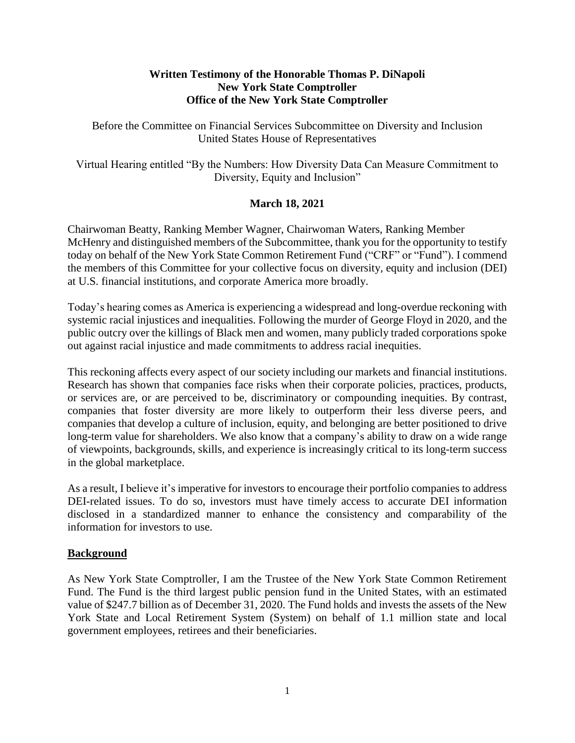### **Written Testimony of the Honorable Thomas P. DiNapoli New York State Comptroller Office of the New York State Comptroller**

Before the Committee on Financial Services Subcommittee on Diversity and Inclusion United States House of Representatives

Virtual Hearing entitled "By the Numbers: How Diversity Data Can Measure Commitment to Diversity, Equity and Inclusion"

# **March 18, 2021**

Chairwoman Beatty, Ranking Member Wagner, Chairwoman Waters, Ranking Member McHenry and distinguished members of the Subcommittee, thank you for the opportunity to testify today on behalf of the New York State Common Retirement Fund ("CRF" or "Fund"). I commend the members of this Committee for your collective focus on diversity, equity and inclusion (DEI) at U.S. financial institutions, and corporate America more broadly.

Today's hearing comes as America is experiencing a widespread and long-overdue reckoning with systemic racial injustices and inequalities. Following the murder of George Floyd in 2020, and the public outcry over the killings of Black men and women, many publicly traded corporations spoke out against racial injustice and made commitments to address racial inequities.

This reckoning affects every aspect of our society including our markets and financial institutions. Research has shown that companies face risks when their corporate policies, practices, products, or services are, or are perceived to be, discriminatory or compounding inequities. By contrast, companies that foster diversity are more likely to outperform their less diverse peers, and companies that develop a culture of inclusion, equity, and belonging are better positioned to drive long-term value for shareholders. We also know that a company's ability to draw on a wide range of viewpoints, backgrounds, skills, and experience is increasingly critical to its long-term success in the global marketplace.

As a result, I believe it's imperative for investors to encourage their portfolio companies to address DEI-related issues. To do so, investors must have timely access to accurate DEI information disclosed in a standardized manner to enhance the consistency and comparability of the information for investors to use.

#### **Background**

As New York State Comptroller, I am the Trustee of the New York State Common Retirement Fund. The Fund is the third largest public pension fund in the United States, with an estimated value of \$247.7 billion as of December 31, 2020. The Fund holds and invests the assets of the New York State and Local Retirement System (System) on behalf of 1.1 million state and local government employees, retirees and their beneficiaries.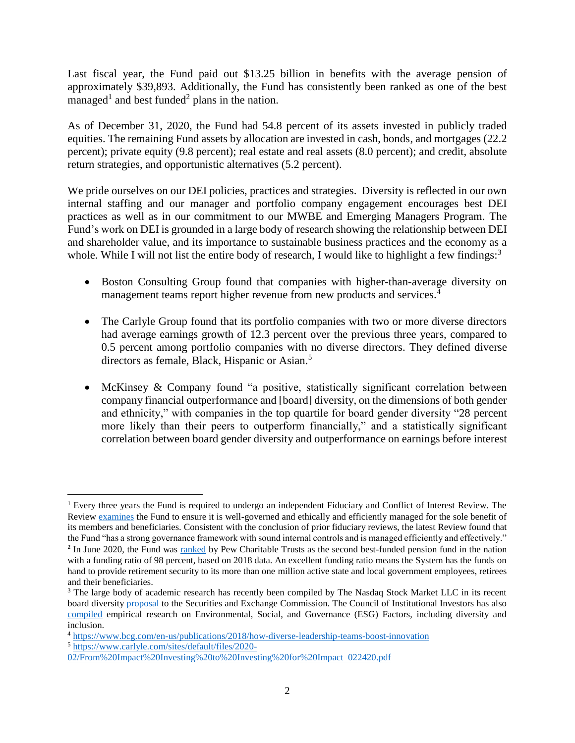Last fiscal year, the Fund paid out \$13.25 billion in benefits with the average pension of approximately \$39,893. Additionally, the Fund has consistently been ranked as one of the best managed<sup>1</sup> and best funded<sup>2</sup> plans in the nation.

As of December 31, 2020, the Fund had 54.8 percent of its assets invested in publicly traded equities. The remaining Fund assets by allocation are invested in cash, bonds, and mortgages (22.2 percent); private equity (9.8 percent); real estate and real assets (8.0 percent); and credit, absolute return strategies, and opportunistic alternatives (5.2 percent).

We pride ourselves on our DEI policies, practices and strategies. Diversity is reflected in our own internal staffing and our manager and portfolio company engagement encourages best DEI practices as well as in our commitment to our MWBE and Emerging Managers Program. The Fund's work on DEI is grounded in a large body of research showing the relationship between DEI and shareholder value, and its importance to sustainable business practices and the economy as a whole. While I will not list the entire body of research, I would like to highlight a few findings:<sup>3</sup>

- Boston Consulting Group found that companies with higher-than-average diversity on management teams report higher revenue from new products and services.<sup>4</sup>
- The Carlyle Group found that its portfolio companies with two or more diverse directors had average earnings growth of 12.3 percent over the previous three years, compared to 0.5 percent among portfolio companies with no diverse directors. They defined diverse directors as female, Black, Hispanic or Asian.<sup>5</sup>
- McKinsey & Company found "a positive, statistically significant correlation between company financial outperformance and [board] diversity, on the dimensions of both gender and ethnicity," with companies in the top quartile for board gender diversity "28 percent more likely than their peers to outperform financially," and a statistically significant correlation between board gender diversity and outperformance on earnings before interest

<sup>1</sup> Every three years the Fund is required to undergo an independent Fiduciary and Conflict of Interest Review. The Review examines the Fund to ensure it is well-governed and ethically and efficiently managed for the sole benefit of its members and beneficiaries. Consistent with the conclusion of prior fiduciary reviews, the latest Review found that the Fund "has a strong governance framework with sound internal controls and is managed efficiently and effectively."

<sup>&</sup>lt;sup>2</sup> In June 2020, the Fund was ranked by Pew Charitable Trusts as the second best-funded pension fund in the nation with a funding ratio of 98 percent, based on 2018 data. An excellent funding ratio means the System has the funds on hand to provide retirement security to its more than one million active state and local government employees, retirees and their beneficiaries.

<sup>&</sup>lt;sup>3</sup> The large body of academic research has recently been compiled by The Nasdaq Stock Market LLC in its recent board diversity proposal to the Securities and Exchange Commission. The Council of Institutional Investors has also compiled empirical research on Environmental, Social, and Governance (ESG) Factors, including diversity and inclusion.

<sup>4</sup> https://www.bcg.com/en-us/publications/2018/how-diverse-leadership-teams-boost-innovation

<sup>5</sup> https://www.carlyle.com/sites/default/files/2020-

<sup>02/</sup>From%20Impact%20Investing%20to%20Investing%20for%20Impact 022420.pdf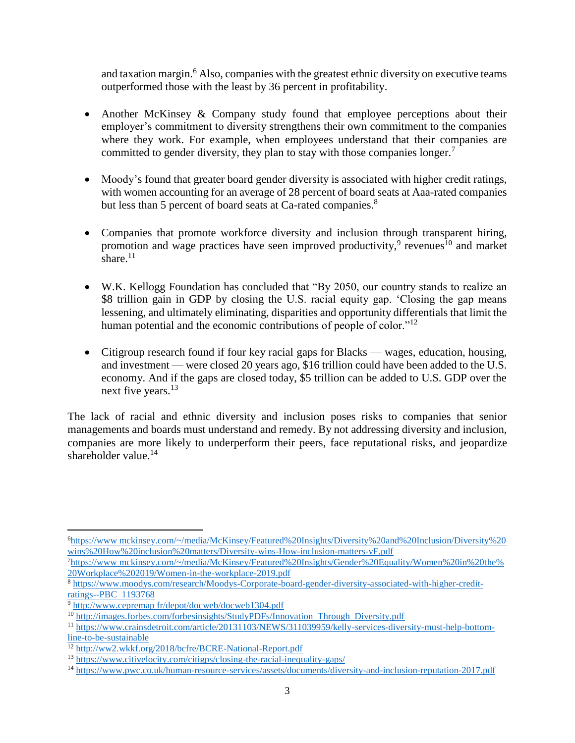and taxation margin.<sup>6</sup> Also, companies with the greatest ethnic diversity on executive teams outperformed those with the least by 36 percent in profitability.

- Another McKinsey & Company study found that employee perceptions about their employer's commitment to diversity strengthens their own commitment to the companies where they work. For example, when employees understand that their companies are committed to gender diversity, they plan to stay with those companies longer.<sup>7</sup>
- Moody's found that greater board gender diversity is associated with higher credit ratings, with women accounting for an average of 28 percent of board seats at Aaa-rated companies but less than 5 percent of board seats at Ca-rated companies.<sup>8</sup>
- Companies that promote workforce diversity and inclusion through transparent hiring, promotion and wage practices have seen improved productivity,<sup>9</sup> revenues<sup>10</sup> and market share. $11$
- W.K. Kellogg Foundation has concluded that "By 2050, our country stands to realize an \$8 trillion gain in GDP by closing the U.S. racial equity gap. 'Closing the gap means lessening, and ultimately eliminating, disparities and opportunity differentials that limit the human potential and the economic contributions of people of color."<sup>12</sup>
- Citigroup research found if four key racial gaps for Blacks wages, education, housing, and investment — were closed 20 years ago, \$16 trillion could have been added to the U.S. economy. And if the gaps are closed today, \$5 trillion can be added to U.S. GDP over the next five years.<sup>13</sup>

The lack of racial and ethnic diversity and inclusion poses risks to companies that senior managements and boards must understand and remedy. By not addressing diversity and inclusion, companies are more likely to underperform their peers, face reputational risks, and jeopardize shareholder value. $14$ 

 $\overline{\phantom{a}}$ <sup>6</sup>https://www mckinsey.com/~/media/McKinsey/Featured%20Insights/Diversity%20and%20Inclusion/Diversity%20 wins%20How%20inclusion%20matters/Diversity-wins-How-inclusion-matters-vF.pdf

<sup>7</sup>https://www mckinsey.com/~/media/McKinsey/Featured%20Insights/Gender%20Equality/Women%20in%20the% 20Workplace%202019/Women-in-the-workplace-2019.pdf

<sup>8</sup> https://www.moodys.com/research/Moodys-Corporate-board-gender-diversity-associated-with-higher-creditratings--PBC 1193768

<sup>9</sup> http://www.cepremap fr/depot/docweb/docweb1304.pdf

<sup>10</sup> http://images.forbes.com/forbesinsights/StudyPDFs/Innovation Through Diversity.pdf

<sup>11</sup> https://www.crainsdetroit.com/article/20131103/NEWS/311039959/kelly-services-diversity-must-help-bottomline-to-be-sustainable

<sup>12</sup> http://ww2.wkkf.org/2018/bcfre/BCRE-National-Report.pdf

<sup>13</sup> https://www.citivelocity.com/citigps/closing-the-racial-inequality-gaps/

<sup>14</sup> https://www.pwc.co.uk/human-resource-services/assets/documents/diversity-and-inclusion-reputation-2017.pdf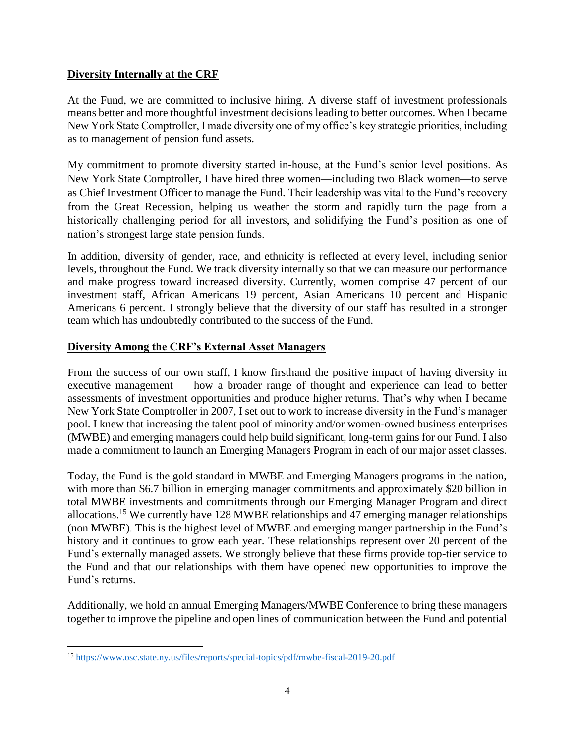# **Diversity Internally at the CRF**

At the Fund, we are committed to inclusive hiring. A diverse staff of investment professionals means better and more thoughtful investment decisions leading to better outcomes. When I became New York State Comptroller, I made diversity one of my office's key strategic priorities, including as to management of pension fund assets.

My commitment to promote diversity started in-house, at the Fund's senior level positions. As New York State Comptroller, I have hired three women—including two Black women—to serve as Chief Investment Officer to manage the Fund. Their leadership was vital to the Fund's recovery from the Great Recession, helping us weather the storm and rapidly turn the page from a historically challenging period for all investors, and solidifying the Fund's position as one of nation's strongest large state pension funds.

In addition, diversity of gender, race, and ethnicity is reflected at every level, including senior levels, throughout the Fund. We track diversity internally so that we can measure our performance and make progress toward increased diversity. Currently, women comprise 47 percent of our investment staff, African Americans 19 percent, Asian Americans 10 percent and Hispanic Americans 6 percent. I strongly believe that the diversity of our staff has resulted in a stronger team which has undoubtedly contributed to the success of the Fund.

# **Diversity Among the CRF's External Asset Managers**

From the success of our own staff, I know firsthand the positive impact of having diversity in executive management — how a broader range of thought and experience can lead to better assessments of investment opportunities and produce higher returns. That's why when I became New York State Comptroller in 2007, I set out to work to increase diversity in the Fund's manager pool. I knew that increasing the talent pool of minority and/or women-owned business enterprises (MWBE) and emerging managers could help build significant, long-term gains for our Fund. I also made a commitment to launch an Emerging Managers Program in each of our major asset classes.

Today, the Fund is the gold standard in MWBE and Emerging Managers programs in the nation, with more than \$6.7 billion in emerging manager commitments and approximately \$20 billion in total MWBE investments and commitments through our Emerging Manager Program and direct allocations.<sup>15</sup> We currently have 128 MWBE relationships and 47 emerging manager relationships (non MWBE). This is the highest level of MWBE and emerging manger partnership in the Fund's history and it continues to grow each year. These relationships represent over 20 percent of the Fund's externally managed assets. We strongly believe that these firms provide top-tier service to the Fund and that our relationships with them have opened new opportunities to improve the Fund's returns.

Additionally, we hold an annual Emerging Managers/MWBE Conference to bring these managers together to improve the pipeline and open lines of communication between the Fund and potential

 $\overline{\phantom{a}}$ <sup>15</sup> https://www.osc.state.ny.us/files/reports/special-topics/pdf/mwbe-fiscal-2019-20.pdf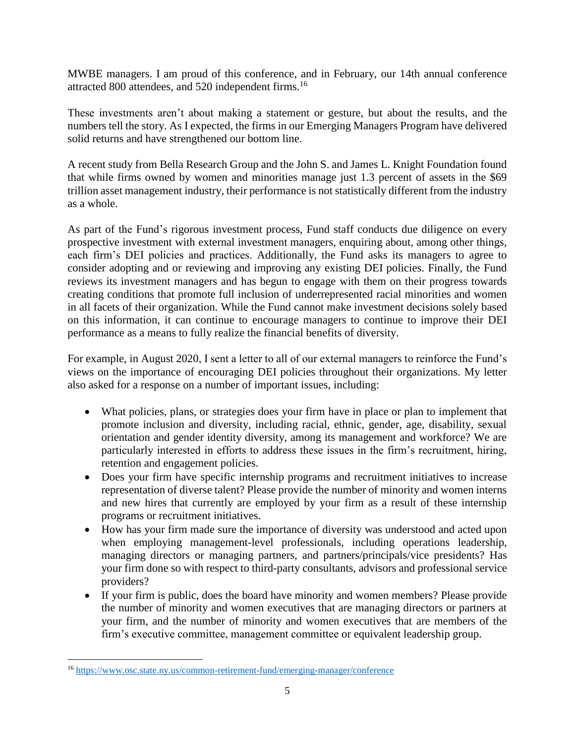MWBE managers. I am proud of this conference, and in February, our 14th annual conference attracted 800 attendees, and 520 independent firms.<sup>16</sup>

These investments aren't about making a statement or gesture, but about the results, and the numbers tell the story. As I expected, the firms in our Emerging Managers Program have delivered solid returns and have strengthened our bottom line.

A recent study from Bella Research Group and the John S. and James L. Knight Foundation found that while firms owned by women and minorities manage just 1.3 percent of assets in the \$69 trillion asset management industry, their performance is not statistically different from the industry as a whole.

As part of the Fund's rigorous investment process, Fund staff conducts due diligence on every prospective investment with external investment managers, enquiring about, among other things, each firm's DEI policies and practices. Additionally, the Fund asks its managers to agree to consider adopting and or reviewing and improving any existing DEI policies. Finally, the Fund reviews its investment managers and has begun to engage with them on their progress towards creating conditions that promote full inclusion of underrepresented racial minorities and women in all facets of their organization. While the Fund cannot make investment decisions solely based on this information, it can continue to encourage managers to continue to improve their DEI performance as a means to fully realize the financial benefits of diversity.

For example, in August 2020, I sent a letter to all of our external managers to reinforce the Fund's views on the importance of encouraging DEI policies throughout their organizations. My letter also asked for a response on a number of important issues, including:

- What policies, plans, or strategies does your firm have in place or plan to implement that promote inclusion and diversity, including racial, ethnic, gender, age, disability, sexual orientation and gender identity diversity, among its management and workforce? We are particularly interested in efforts to address these issues in the firm's recruitment, hiring, retention and engagement policies.
- Does your firm have specific internship programs and recruitment initiatives to increase representation of diverse talent? Please provide the number of minority and women interns and new hires that currently are employed by your firm as a result of these internship programs or recruitment initiatives.
- How has your firm made sure the importance of diversity was understood and acted upon when employing management-level professionals, including operations leadership, managing directors or managing partners, and partners/principals/vice presidents? Has your firm done so with respect to third-party consultants, advisors and professional service providers?
- If your firm is public, does the board have minority and women members? Please provide the number of minority and women executives that are managing directors or partners at your firm, and the number of minority and women executives that are members of the firm's executive committee, management committee or equivalent leadership group.

<sup>16</sup> https://www.osc.state.ny.us/common-retirement-fund/emerging-manager/conference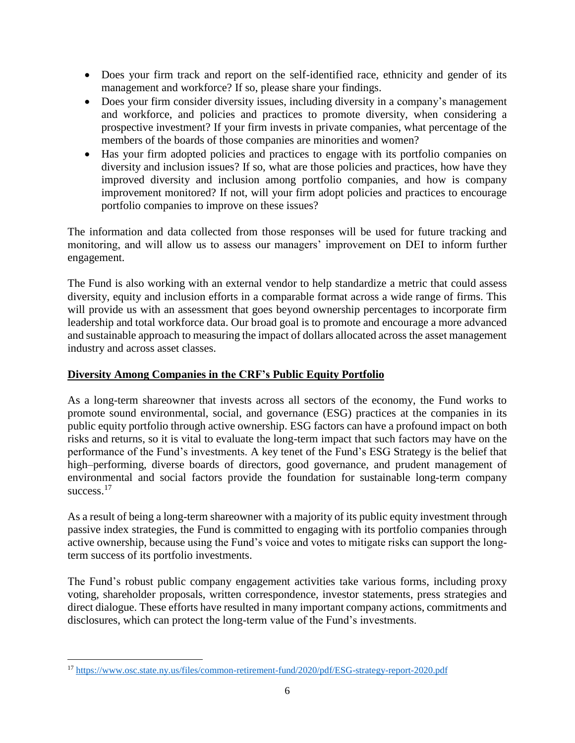- Does your firm track and report on the self-identified race, ethnicity and gender of its management and workforce? If so, please share your findings.
- Does your firm consider diversity issues, including diversity in a company's management and workforce, and policies and practices to promote diversity, when considering a prospective investment? If your firm invests in private companies, what percentage of the members of the boards of those companies are minorities and women?
- Has your firm adopted policies and practices to engage with its portfolio companies on diversity and inclusion issues? If so, what are those policies and practices, how have they improved diversity and inclusion among portfolio companies, and how is company improvement monitored? If not, will your firm adopt policies and practices to encourage portfolio companies to improve on these issues?

The information and data collected from those responses will be used for future tracking and monitoring, and will allow us to assess our managers' improvement on DEI to inform further engagement.

The Fund is also working with an external vendor to help standardize a metric that could assess diversity, equity and inclusion efforts in a comparable format across a wide range of firms. This will provide us with an assessment that goes beyond ownership percentages to incorporate firm leadership and total workforce data. Our broad goal is to promote and encourage a more advanced and sustainable approach to measuring the impact of dollars allocated across the asset management industry and across asset classes.

# **Diversity Among Companies in the CRF's Public Equity Portfolio**

As a long-term shareowner that invests across all sectors of the economy, the Fund works to promote sound environmental, social, and governance (ESG) practices at the companies in its public equity portfolio through active ownership. ESG factors can have a profound impact on both risks and returns, so it is vital to evaluate the long-term impact that such factors may have on the performance of the Fund's investments. A key tenet of the Fund's ESG Strategy is the belief that high–performing, diverse boards of directors, good governance, and prudent management of environmental and social factors provide the foundation for sustainable long-term company success.<sup>17</sup>

As a result of being a long-term shareowner with a majority of its public equity investment through passive index strategies, the Fund is committed to engaging with its portfolio companies through active ownership, because using the Fund's voice and votes to mitigate risks can support the longterm success of its portfolio investments.

The Fund's robust public company engagement activities take various forms, including proxy voting, shareholder proposals, written correspondence, investor statements, press strategies and direct dialogue. These efforts have resulted in many important company actions, commitments and disclosures, which can protect the long-term value of the Fund's investments.

 $\overline{\phantom{a}}$ <sup>17</sup> https://www.osc.state.ny.us/files/common-retirement-fund/2020/pdf/ESG-strategy-report-2020.pdf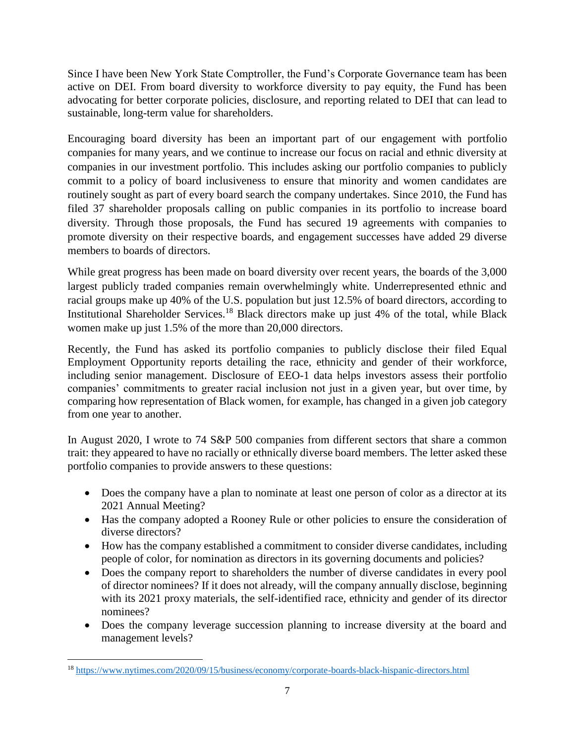Since I have been New York State Comptroller, the Fund's Corporate Governance team has been active on DEI. From board diversity to workforce diversity to pay equity, the Fund has been advocating for better corporate policies, disclosure, and reporting related to DEI that can lead to sustainable, long-term value for shareholders.

Encouraging board diversity has been an important part of our engagement with portfolio companies for many years, and we continue to increase our focus on racial and ethnic diversity at companies in our investment portfolio. This includes asking our portfolio companies to publicly commit to a policy of board inclusiveness to ensure that minority and women candidates are routinely sought as part of every board search the company undertakes. Since 2010, the Fund has filed 37 shareholder proposals calling on public companies in its portfolio to increase board diversity. Through those proposals, the Fund has secured 19 agreements with companies to promote diversity on their respective boards, and engagement successes have added 29 diverse members to boards of directors.

While great progress has been made on board diversity over recent years, the boards of the 3,000 largest publicly traded companies remain overwhelmingly white. Underrepresented ethnic and racial groups make up 40% of the U.S. population but just 12.5% of board directors, according to Institutional Shareholder Services.<sup>18</sup> Black directors make up just 4% of the total, while Black women make up just 1.5% of the more than 20,000 directors.

Recently, the Fund has asked its portfolio companies to publicly disclose their filed Equal Employment Opportunity reports detailing the race, ethnicity and gender of their workforce, including senior management. Disclosure of EEO-1 data helps investors assess their portfolio companies' commitments to greater racial inclusion not just in a given year, but over time, by comparing how representation of Black women, for example, has changed in a given job category from one year to another.

In August 2020, I wrote to 74 S&P 500 companies from different sectors that share a common trait: they appeared to have no racially or ethnically diverse board members. The letter asked these portfolio companies to provide answers to these questions:

- Does the company have a plan to nominate at least one person of color as a director at its 2021 Annual Meeting?
- Has the company adopted a Rooney Rule or other policies to ensure the consideration of diverse directors?
- How has the company established a commitment to consider diverse candidates, including people of color, for nomination as directors in its governing documents and policies?
- Does the company report to shareholders the number of diverse candidates in every pool of director nominees? If it does not already, will the company annually disclose, beginning with its 2021 proxy materials, the self-identified race, ethnicity and gender of its director nominees?
- Does the company leverage succession planning to increase diversity at the board and management levels?

 $\overline{\phantom{a}}$ <sup>18</sup> https://www.nytimes.com/2020/09/15/business/economy/corporate-boards-black-hispanic-directors.html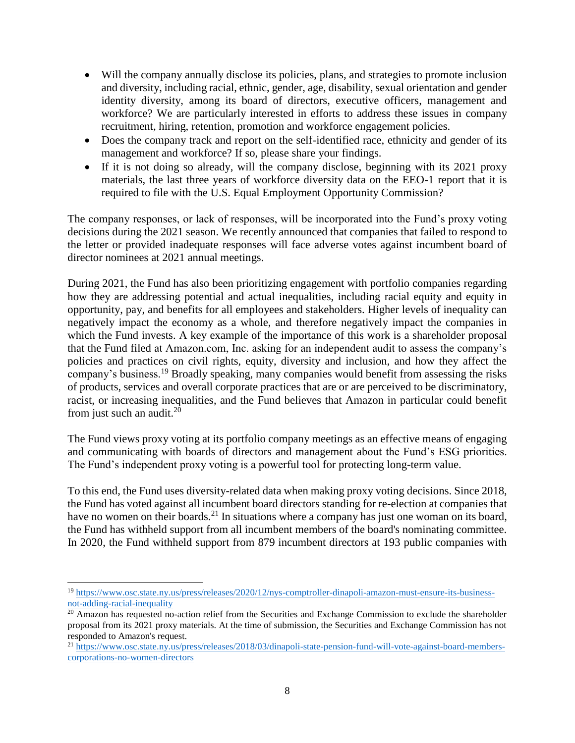- Will the company annually disclose its policies, plans, and strategies to promote inclusion and diversity, including racial, ethnic, gender, age, disability, sexual orientation and gender identity diversity, among its board of directors, executive officers, management and workforce? We are particularly interested in efforts to address these issues in company recruitment, hiring, retention, promotion and workforce engagement policies.
- Does the company track and report on the self-identified race, ethnicity and gender of its management and workforce? If so, please share your findings.
- If it is not doing so already, will the company disclose, beginning with its 2021 proxy materials, the last three years of workforce diversity data on the EEO-1 report that it is required to file with the U.S. Equal Employment Opportunity Commission?

The company responses, or lack of responses, will be incorporated into the Fund's proxy voting decisions during the 2021 season. We recently announced that companies that failed to respond to the letter or provided inadequate responses will face adverse votes against incumbent board of director nominees at 2021 annual meetings.

During 2021, the Fund has also been prioritizing engagement with portfolio companies regarding how they are addressing potential and actual inequalities, including racial equity and equity in opportunity, pay, and benefits for all employees and stakeholders. Higher levels of inequality can negatively impact the economy as a whole, and therefore negatively impact the companies in which the Fund invests. A key example of the importance of this work is a shareholder proposal that the Fund filed at Amazon.com, Inc. asking for an independent audit to assess the company's policies and practices on civil rights, equity, diversity and inclusion, and how they affect the company's business.<sup>19</sup> Broadly speaking, many companies would benefit from assessing the risks of products, services and overall corporate practices that are or are perceived to be discriminatory, racist, or increasing inequalities, and the Fund believes that Amazon in particular could benefit from just such an audit.<sup>20</sup>

The Fund views proxy voting at its portfolio company meetings as an effective means of engaging and communicating with boards of directors and management about the Fund's ESG priorities. The Fund's independent proxy voting is a powerful tool for protecting long-term value.

To this end, the Fund uses diversity-related data when making proxy voting decisions. Since 2018, the Fund has voted against all incumbent board directors standing for re-election at companies that have no women on their boards.<sup>21</sup> In situations where a company has just one woman on its board, the Fund has withheld support from all incumbent members of the board's nominating committee. In 2020, the Fund withheld support from 879 incumbent directors at 193 public companies with

<sup>19</sup> https://www.osc.state.ny.us/press/releases/2020/12/nys-comptroller-dinapoli-amazon-must-ensure-its-businessnot-adding-racial-inequality

 $20$  Amazon has requested no-action relief from the Securities and Exchange Commission to exclude the shareholder proposal from its 2021 proxy materials. At the time of submission, the Securities and Exchange Commission has not responded to Amazon's request.

<sup>21</sup> https://www.osc.state.ny.us/press/releases/2018/03/dinapoli-state-pension-fund-will-vote-against-board-memberscorporations-no-women-directors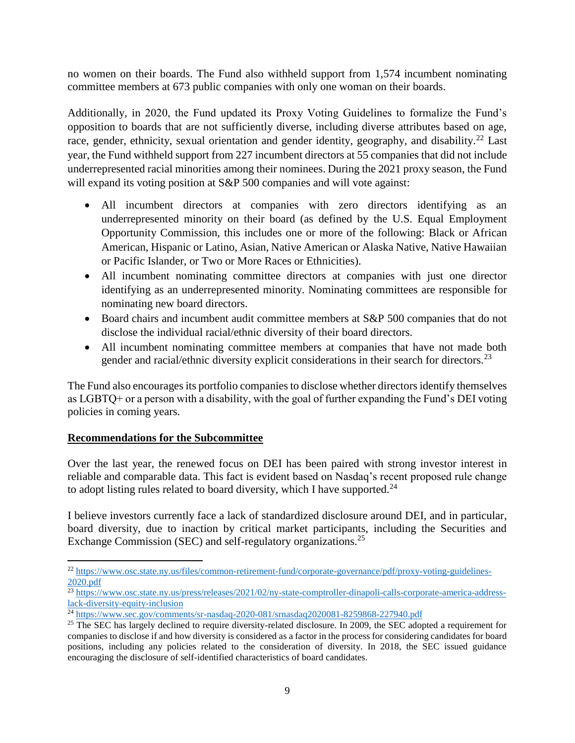no women on their boards. The Fund also withheld support from 1,574 incumbent nominating committee members at 673 public companies with only one woman on their boards.

Additionally, in 2020, the Fund updated its Proxy Voting Guidelines to formalize the Fund's opposition to boards that are not sufficiently diverse, including diverse attributes based on age, race, gender, ethnicity, sexual orientation and gender identity, geography, and disability.<sup>22</sup> Last year, the Fund withheld support from 227 incumbent directors at 55 companies that did not include underrepresented racial minorities among their nominees. During the 2021 proxy season, the Fund will expand its voting position at S&P 500 companies and will vote against:

- All incumbent directors at companies with zero directors identifying as an underrepresented minority on their board (as defined by the U.S. Equal Employment Opportunity Commission, this includes one or more of the following: Black or African American, Hispanic or Latino, Asian, Native American or Alaska Native, Native Hawaiian or Pacific Islander, or Two or More Races or Ethnicities).
- All incumbent nominating committee directors at companies with just one director identifying as an underrepresented minority. Nominating committees are responsible for nominating new board directors.
- Board chairs and incumbent audit committee members at S&P 500 companies that do not disclose the individual racial/ethnic diversity of their board directors.
- All incumbent nominating committee members at companies that have not made both gender and racial/ethnic diversity explicit considerations in their search for directors.<sup>23</sup>

The Fund also encourages its portfolio companies to disclose whether directors identify themselves as LGBTQ+ or a person with a disability, with the goal of further expanding the Fund's DEI voting policies in coming years.

# **Recommendations for the Subcommittee**

 $\overline{\phantom{a}}$ 

Over the last year, the renewed focus on DEI has been paired with strong investor interest in reliable and comparable data. This fact is evident based on Nasdaq's recent proposed rule change to adopt listing rules related to board diversity, which I have supported.<sup>24</sup>

I believe investors currently face a lack of standardized disclosure around DEI, and in particular, board diversity, due to inaction by critical market participants, including the Securities and Exchange Commission (SEC) and self-regulatory organizations.<sup>25</sup>

<sup>22</sup> https://www.osc.state.ny.us/files/common-retirement-fund/corporate-governance/pdf/proxy-voting-guidelines-2020.pdf

<sup>&</sup>lt;sup>23</sup> https://www.osc.state.ny.us/press/releases/2021/02/ny-state-comptroller-dinapoli-calls-corporate-america-addresslack-diversity-equity-inclusion

<sup>24</sup> https://www.sec.gov/comments/sr-nasdaq-2020-081/srnasdaq2020081-8259868-227940.pdf

<sup>&</sup>lt;sup>25</sup> The SEC has largely declined to require diversity-related disclosure. In 2009, the SEC adopted a requirement for companies to disclose if and how diversity is considered as a factor in the process for considering candidates for board positions, including any policies related to the consideration of diversity. In 2018, the SEC issued guidance encouraging the disclosure of self-identified characteristics of board candidates.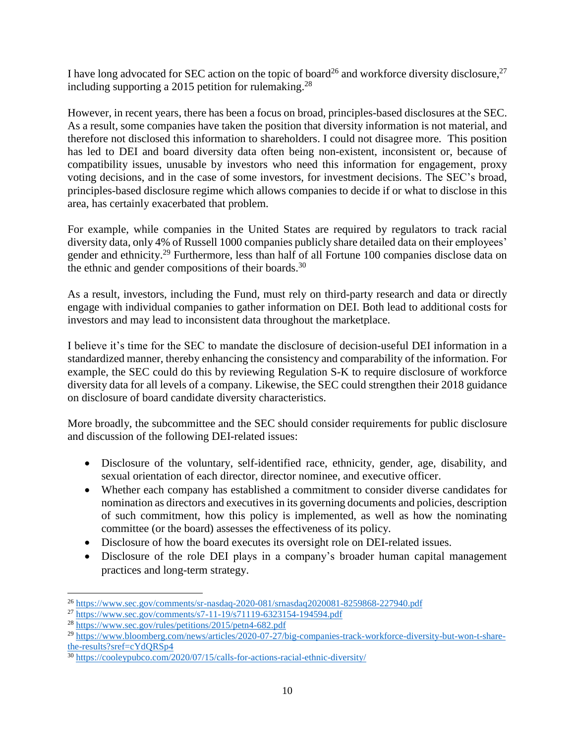I have long advocated for SEC action on the topic of board<sup>26</sup> and workforce diversity disclosure,<sup>27</sup> including supporting a 2015 petition for rulemaking.<sup>28</sup>

However, in recent years, there has been a focus on broad, principles-based disclosures at the SEC. As a result, some companies have taken the position that diversity information is not material, and therefore not disclosed this information to shareholders. I could not disagree more. This position has led to DEI and board diversity data often being non-existent, inconsistent or, because of compatibility issues, unusable by investors who need this information for engagement, proxy voting decisions, and in the case of some investors, for investment decisions. The SEC's broad, principles-based disclosure regime which allows companies to decide if or what to disclose in this area, has certainly exacerbated that problem.

For example, while companies in the United States are required by regulators to track racial diversity data, only 4% of Russell 1000 companies publicly share detailed data on their employees' gender and ethnicity.<sup>29</sup> Furthermore, less than half of all Fortune 100 companies disclose data on the ethnic and gender compositions of their boards.<sup>30</sup>

As a result, investors, including the Fund, must rely on third-party research and data or directly engage with individual companies to gather information on DEI. Both lead to additional costs for investors and may lead to inconsistent data throughout the marketplace.

I believe it's time for the SEC to mandate the disclosure of decision-useful DEI information in a standardized manner, thereby enhancing the consistency and comparability of the information. For example, the SEC could do this by reviewing Regulation S-K to require disclosure of workforce diversity data for all levels of a company. Likewise, the SEC could strengthen their 2018 guidance on disclosure of board candidate diversity characteristics.

More broadly, the subcommittee and the SEC should consider requirements for public disclosure and discussion of the following DEI-related issues:

- Disclosure of the voluntary, self-identified race, ethnicity, gender, age, disability, and sexual orientation of each director, director nominee, and executive officer.
- Whether each company has established a commitment to consider diverse candidates for nomination as directors and executives in its governing documents and policies, description of such commitment, how this policy is implemented, as well as how the nominating committee (or the board) assesses the effectiveness of its policy.
- Disclosure of how the board executes its oversight role on DEI-related issues.
- Disclosure of the role DEI plays in a company's broader human capital management practices and long-term strategy.

<sup>26</sup> https://www.sec.gov/comments/sr-nasdaq-2020-081/srnasdaq2020081-8259868-227940.pdf

<sup>27</sup> https://www.sec.gov/comments/s7-11-19/s71119-6323154-194594.pdf

<sup>28</sup> https://www.sec.gov/rules/petitions/2015/petn4-682.pdf

<sup>29</sup> https://www.bloomberg.com/news/articles/2020-07-27/big-companies-track-workforce-diversity-but-won-t-sharethe-results?sref=cYdQRSp4

<sup>30</sup> https://cooleypubco.com/2020/07/15/calls-for-actions-racial-ethnic-diversity/